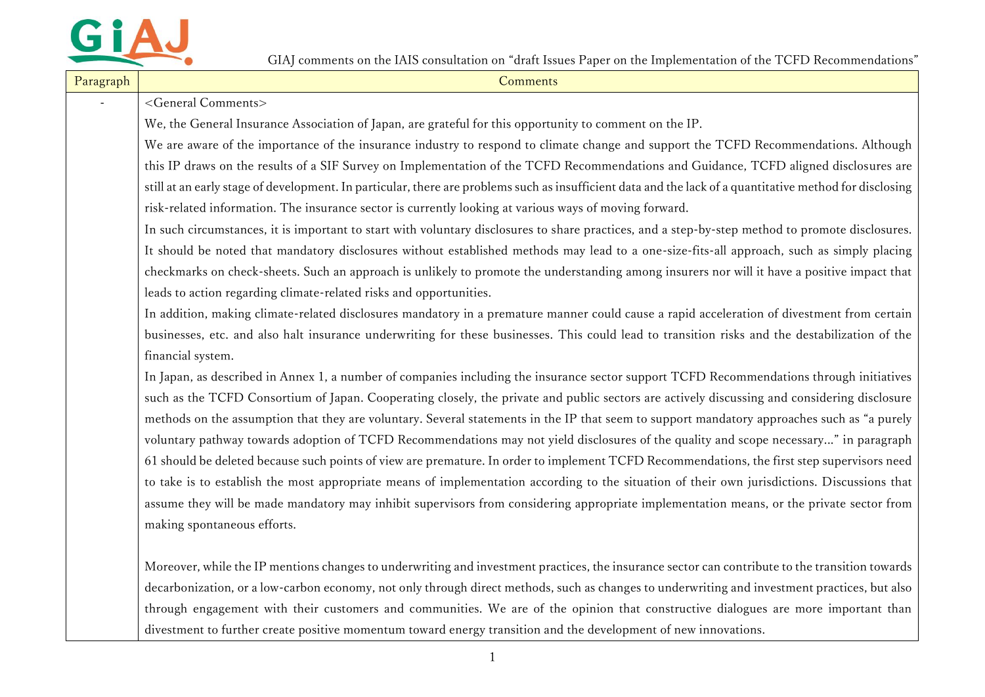

| Paragraph | Comments                                                                                                                                                 |
|-----------|----------------------------------------------------------------------------------------------------------------------------------------------------------|
|           | <general comments=""></general>                                                                                                                          |
|           | We, the General Insurance Association of Japan, are grateful for this opportunity to comment on the IP.                                                  |
|           | We are aware of the importance of the insurance industry to respond to climate change and support the TCFD Recommendations. Although                     |
|           | this IP draws on the results of a SIF Survey on Implementation of the TCFD Recommendations and Guidance, TCFD aligned disclosures are                    |
|           | still at an early stage of development. In particular, there are problems such as insufficient data and the lack of a quantitative method for disclosing |
|           | risk-related information. The insurance sector is currently looking at various ways of moving forward.                                                   |
|           | In such circumstances, it is important to start with voluntary disclosures to share practices, and a step-by-step method to promote disclosures.         |
|           | It should be noted that mandatory disclosures without established methods may lead to a one-size-fits-all approach, such as simply placing               |
|           | checkmarks on check-sheets. Such an approach is unlikely to promote the understanding among insurers nor will it have a positive impact that             |
|           | leads to action regarding climate-related risks and opportunities.                                                                                       |
|           | In addition, making climate-related disclosures mandatory in a premature manner could cause a rapid acceleration of divestment from certain              |
|           | businesses, etc. and also halt insurance underwriting for these businesses. This could lead to transition risks and the destabilization of the           |
|           | financial system.                                                                                                                                        |
|           | In Japan, as described in Annex 1, a number of companies including the insurance sector support TCFD Recommendations through initiatives                 |
|           | such as the TCFD Consortium of Japan. Cooperating closely, the private and public sectors are actively discussing and considering disclosure             |
|           | methods on the assumption that they are voluntary. Several statements in the IP that seem to support mandatory approaches such as "a purely              |
|           | voluntary pathway towards adoption of TCFD Recommendations may not yield disclosures of the quality and scope necessary" in paragraph                    |
|           | 61 should be deleted because such points of view are premature. In order to implement TCFD Recommendations, the first step supervisors need              |
|           | to take is to establish the most appropriate means of implementation according to the situation of their own jurisdictions. Discussions that             |
|           | assume they will be made mandatory may inhibit supervisors from considering appropriate implementation means, or the private sector from                 |
|           | making spontaneous efforts.                                                                                                                              |
|           |                                                                                                                                                          |
|           | Moreover, while the IP mentions changes to underwriting and investment practices, the insurance sector can contribute to the transition towards          |
|           | decarbonization, or a low-carbon economy, not only through direct methods, such as changes to underwriting and investment practices, but also            |
|           | through engagement with their customers and communities. We are of the opinion that constructive dialogues are more important than                       |
|           | divestment to further create positive momentum toward energy transition and the development of new innovations.                                          |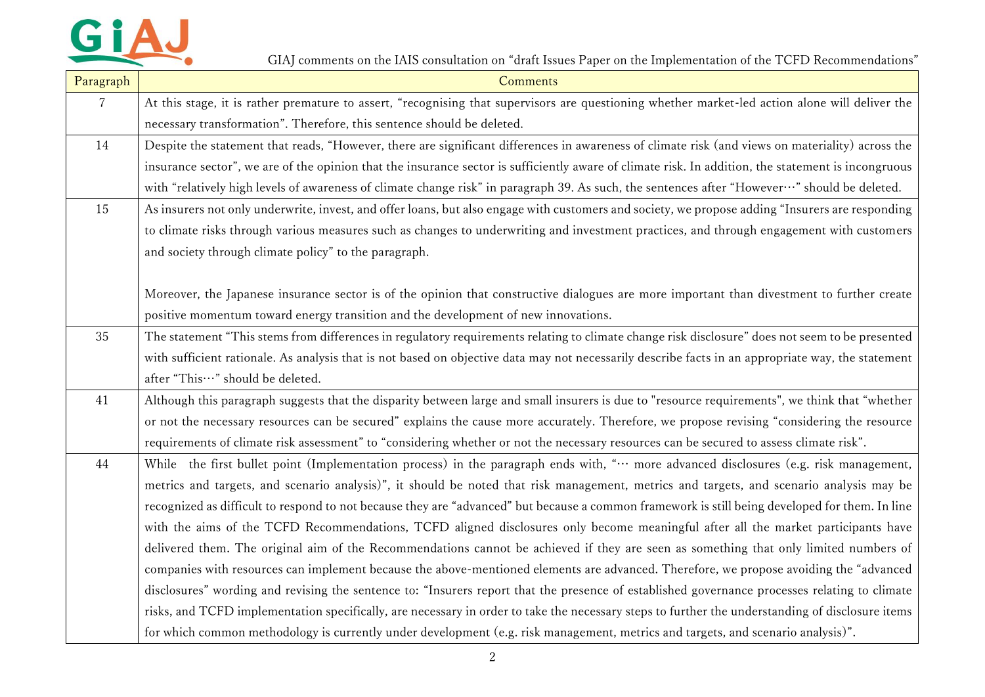

| Paragraph | Comments                                                                                                                                            |
|-----------|-----------------------------------------------------------------------------------------------------------------------------------------------------|
| 7         | At this stage, it is rather premature to assert, "recognising that supervisors are questioning whether market-led action alone will deliver the     |
|           | necessary transformation". Therefore, this sentence should be deleted.                                                                              |
| 14        | Despite the statement that reads, "However, there are significant differences in awareness of climate risk (and views on materiality) across the    |
|           | insurance sector", we are of the opinion that the insurance sector is sufficiently aware of climate risk. In addition, the statement is incongruous |
|           | with "relatively high levels of awareness of climate change risk" in paragraph 39. As such, the sentences after "However…" should be deleted.       |
| 15        | As insurers not only underwrite, invest, and offer loans, but also engage with customers and society, we propose adding "Insurers are responding    |
|           | to climate risks through various measures such as changes to underwriting and investment practices, and through engagement with customers           |
|           | and society through climate policy" to the paragraph.                                                                                               |
|           |                                                                                                                                                     |
|           | Moreover, the Japanese insurance sector is of the opinion that constructive dialogues are more important than divestment to further create          |
|           | positive momentum toward energy transition and the development of new innovations.                                                                  |
| 35        | The statement "This stems from differences in regulatory requirements relating to climate change risk disclosure" does not seem to be presented     |
|           | with sufficient rationale. As analysis that is not based on objective data may not necessarily describe facts in an appropriate way, the statement  |
|           | after "This ··· " should be deleted.                                                                                                                |
| 41        | Although this paragraph suggests that the disparity between large and small insurers is due to "resource requirements", we think that "whether      |
|           | or not the necessary resources can be secured" explains the cause more accurately. Therefore, we propose revising "considering the resource         |
|           | requirements of climate risk assessment" to "considering whether or not the necessary resources can be secured to assess climate risk".             |
| 44        | While the first bullet point (Implementation process) in the paragraph ends with, " more advanced disclosures (e.g. risk management,                |
|           | metrics and targets, and scenario analysis)", it should be noted that risk management, metrics and targets, and scenario analysis may be            |
|           | recognized as difficult to respond to not because they are "advanced" but because a common framework is still being developed for them. In line     |
|           | with the aims of the TCFD Recommendations, TCFD aligned disclosures only become meaningful after all the market participants have                   |
|           | delivered them. The original aim of the Recommendations cannot be achieved if they are seen as something that only limited numbers of               |
|           | companies with resources can implement because the above-mentioned elements are advanced. Therefore, we propose avoiding the "advanced              |
|           | disclosures" wording and revising the sentence to: "Insurers report that the presence of established governance processes relating to climate       |
|           | risks, and TCFD implementation specifically, are necessary in order to take the necessary steps to further the understanding of disclosure items    |
|           | for which common methodology is currently under development (e.g. risk management, metrics and targets, and scenario analysis)".                    |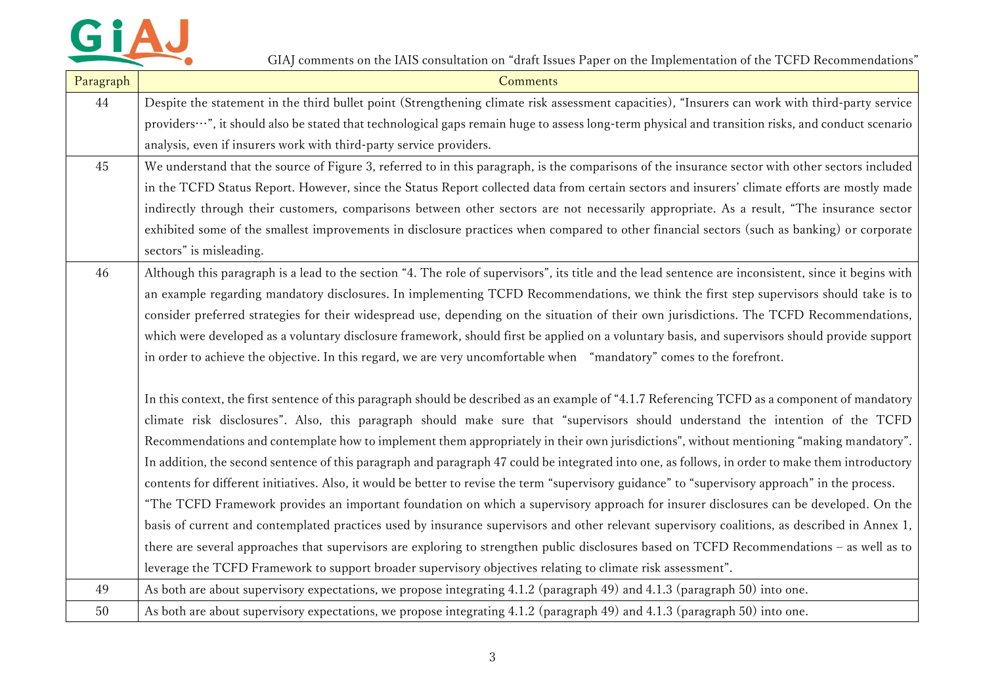

| Paragraph | Comments                                                                                                                                              |
|-----------|-------------------------------------------------------------------------------------------------------------------------------------------------------|
| 44        | Despite the statement in the third bullet point (Strengthening climate risk assessment capacities), "Insurers can work with third-party service       |
|           | providers…", it should also be stated that technological gaps remain huge to assess long-term physical and transition risks, and conduct scenario     |
|           | analysis, even if insurers work with third-party service providers.                                                                                   |
| 45        | We understand that the source of Figure 3, referred to in this paragraph, is the comparisons of the insurance sector with other sectors included      |
|           | in the TCFD Status Report. However, since the Status Report collected data from certain sectors and insurers' climate efforts are mostly made         |
|           | indirectly through their customers, comparisons between other sectors are not necessarily appropriate. As a result, "The insurance sector             |
|           | exhibited some of the smallest improvements in disclosure practices when compared to other financial sectors (such as banking) or corporate           |
|           | sectors" is misleading.                                                                                                                               |
| 46        | Although this paragraph is a lead to the section "4. The role of supervisors", its title and the lead sentence are inconsistent, since it begins with |
|           | an example regarding mandatory disclosures. In implementing TCFD Recommendations, we think the first step supervisors should take is to               |
|           | consider preferred strategies for their widespread use, depending on the situation of their own jurisdictions. The TCFD Recommendations,              |
|           | which were developed as a voluntary disclosure framework, should first be applied on a voluntary basis, and supervisors should provide support        |
|           | in order to achieve the objective. In this regard, we are very uncomfortable when "mandatory" comes to the forefront.                                 |
|           |                                                                                                                                                       |
|           | In this context, the first sentence of this paragraph should be described as an example of "4.1.7 Referencing TCFD as a component of mandatory        |
|           | climate risk disclosures". Also, this paragraph should make sure that "supervisors should understand the intention of the TCFD                        |
|           | Recommendations and contemplate how to implement them appropriately in their own jurisdictions", without mentioning "making mandatory".               |
|           | In addition, the second sentence of this paragraph and paragraph 47 could be integrated into one, as follows, in order to make them introductory      |
|           | contents for different initiatives. Also, it would be better to revise the term "supervisory guidance" to "supervisory approach" in the process.      |
|           | "The TCFD Framework provides an important foundation on which a supervisory approach for insurer disclosures can be developed. On the                 |
|           | basis of current and contemplated practices used by insurance supervisors and other relevant supervisory coalitions, as described in Annex 1,         |
|           | there are several approaches that supervisors are exploring to strengthen public disclosures based on TCFD Recommendations - as well as to            |
|           | leverage the TCFD Framework to support broader supervisory objectives relating to climate risk assessment".                                           |
| 49        | As both are about supervisory expectations, we propose integrating 4.1.2 (paragraph 49) and 4.1.3 (paragraph 50) into one.                            |
| 50        | As both are about supervisory expectations, we propose integrating 4.1.2 (paragraph 49) and 4.1.3 (paragraph 50) into one.                            |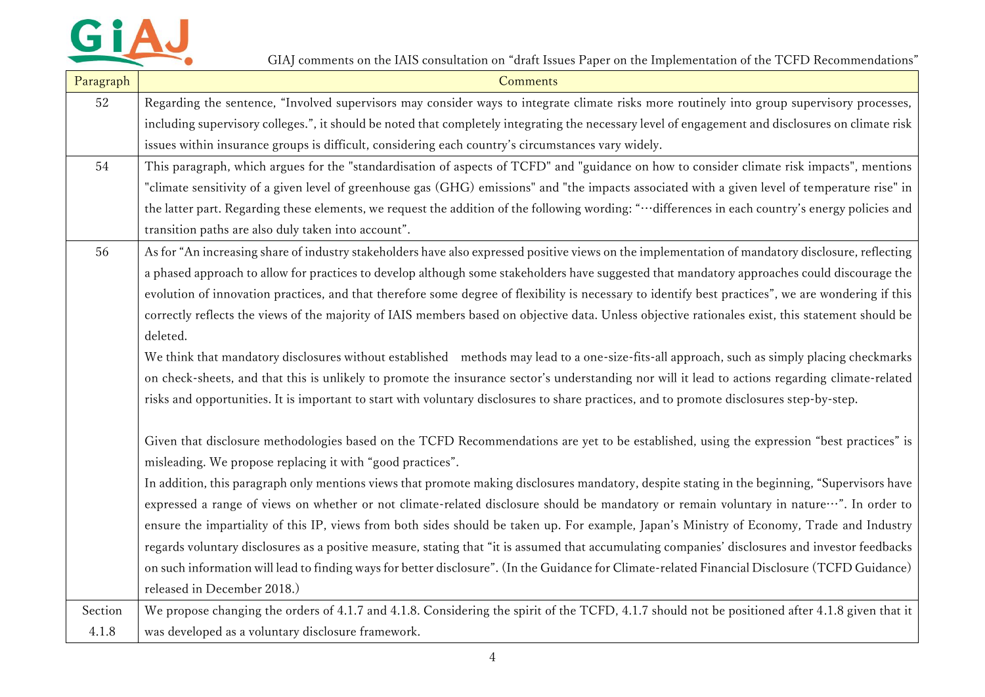

| Paragraph | <b>Comments</b>                                                                                                                                                                                         |
|-----------|---------------------------------------------------------------------------------------------------------------------------------------------------------------------------------------------------------|
| 52        | Regarding the sentence, "Involved supervisors may consider ways to integrate climate risks more routinely into group supervisory processes,                                                             |
|           | including supervisory colleges.", it should be noted that completely integrating the necessary level of engagement and disclosures on climate risk                                                      |
|           | issues within insurance groups is difficult, considering each country's circumstances vary widely.                                                                                                      |
| 54        | This paragraph, which argues for the "standardisation of aspects of TCFD" and "guidance on how to consider climate risk impacts", mentions                                                              |
|           | "climate sensitivity of a given level of greenhouse gas (GHG) emissions" and "the impacts associated with a given level of temperature rise" in                                                         |
|           | the latter part. Regarding these elements, we request the addition of the following wording: "··· differences in each country's energy policies and                                                     |
|           | transition paths are also duly taken into account".                                                                                                                                                     |
| 56        | As for "An increasing share of industry stakeholders have also expressed positive views on the implementation of mandatory disclosure, reflecting                                                       |
|           | a phased approach to allow for practices to develop although some stakeholders have suggested that mandatory approaches could discourage the                                                            |
|           | evolution of innovation practices, and that therefore some degree of flexibility is necessary to identify best practices", we are wondering if this                                                     |
|           | correctly reflects the views of the majority of IAIS members based on objective data. Unless objective rationales exist, this statement should be                                                       |
|           | deleted.                                                                                                                                                                                                |
|           | We think that mandatory disclosures without established methods may lead to a one-size-fits-all approach, such as simply placing checkmarks                                                             |
|           | on check-sheets, and that this is unlikely to promote the insurance sector's understanding nor will it lead to actions regarding climate-related                                                        |
|           | risks and opportunities. It is important to start with voluntary disclosures to share practices, and to promote disclosures step-by-step.                                                               |
|           | Given that disclosure methodologies based on the TCFD Recommendations are yet to be established, using the expression "best practices" is<br>misleading. We propose replacing it with "good practices". |
|           | In addition, this paragraph only mentions views that promote making disclosures mandatory, despite stating in the beginning, "Supervisors have                                                          |
|           | expressed a range of views on whether or not climate-related disclosure should be mandatory or remain voluntary in nature…". In order to                                                                |
|           | ensure the impartiality of this IP, views from both sides should be taken up. For example, Japan's Ministry of Economy, Trade and Industry                                                              |
|           | regards voluntary disclosures as a positive measure, stating that "it is assumed that accumulating companies' disclosures and investor feedbacks                                                        |
|           | on such information will lead to finding ways for better disclosure". (In the Guidance for Climate-related Financial Disclosure (TCFD Guidance)                                                         |
|           | released in December 2018.)                                                                                                                                                                             |
| Section   | We propose changing the orders of 4.1.7 and 4.1.8. Considering the spirit of the TCFD, 4.1.7 should not be positioned after 4.1.8 given that it                                                         |
| 4.1.8     | was developed as a voluntary disclosure framework.                                                                                                                                                      |